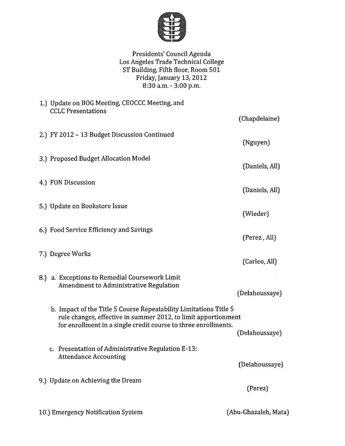

Presidents' Council Agenda Los Angeles Trade Technical College ST Building, Fifth floor, Room 501 Friday, January 13, 2012 8:30 a.m. - 3:00 p.m.

| 1.) Update on BOG Meeting, CEOCCC Meeting, and<br><b>CCLC</b> Presentations                                                                                                                           |                      |
|-------------------------------------------------------------------------------------------------------------------------------------------------------------------------------------------------------|----------------------|
|                                                                                                                                                                                                       | (Chapdelaine)        |
| 2.) FY 2012 - 13 Budget Discussion Continued                                                                                                                                                          | (Nguyen)             |
| 3.) Proposed Budget Allocation Model                                                                                                                                                                  | (Daniels, All)       |
| 4.) FON Discussion                                                                                                                                                                                    | (Daniels, All)       |
| 5.) Update on Bookstore Issue                                                                                                                                                                         | (Wieder)             |
| 6.) Food Service Efficiency and Savings                                                                                                                                                               | (Perez, All)         |
| 7.) Degree Works                                                                                                                                                                                      | (Carleo, All)        |
| 8.) a. Exceptions to Remedial Coursework Limit<br>Amendment to Administrative Regulation                                                                                                              | (Delahoussaye)       |
| b. Impact of the Title 5 Course Repeatability Limitations Title 5<br>rule changes, effective in summer 2012, to limit apportionment<br>for enrollment in a single credit course to three enrollments. | (Delahoussaye)       |
| c. Presentation of Administrative Regulation E-13:<br><b>Attendance Accounting</b>                                                                                                                    | (Delahoussaye)       |
| 9.) Update on Achieving the Dream                                                                                                                                                                     | (Perez)              |
| 10.) Emergency Notification System                                                                                                                                                                    | (Abu-Ghazaleh, Mata) |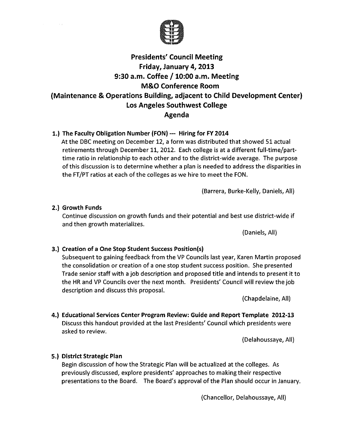

## **Presidents' Council Meeting** Friday, January 4, 2013 9:30 a.m. Coffee / 10:00 a.m. Meeting **M&O Conference Room** (Maintenance & Operations Building, adjacent to Child Development Center) Los Angeles Southwest College Agenda

## 1.) The Faculty Obligation Number (FON) --- Hiring for FY 2014

At the DBC meeting on December 12, a form was distributed that showed 51 actual retirements through December 11, 2012. Each college is at a different full-time/parttime ratio in relationship to each other and to the district-wide average. The purpose of this discussion is to determine whether a plan is needed to address the disparities in the FT/PT ratios at each of the colleges as we hire to meet the FON.

(Barrera, Burke-Kelly, Daniels, All)

## 2.) Growth Funds

 $\sim 10^{11}$ 

Continue discussion on growth funds and their potential and best use district-wide if and then growth materializes.

(Daniels, All)

## 3.) Creation of a One Stop Student Success Position(s)

Subsequent to gaining feedback from the VP Councils last year, Karen Martin proposed the consolidation or creation of a one stop student success position. She presented Trade senior staff with a job description and proposed title and intends to present it to the HR and VP Councils over the next month. Presidents' Council will review the job description and discuss this proposal.

(Chapdelaine, All)

4.) Educational Services Center Program Review: Guide and Report Template 2012-13 Discuss this handout provided at the last Presidents' Council which presidents were asked to review.

(Delahoussaye, All)

## 5.) District Strategic Plan

Begin discussion of how the Strategic Plan will be actualized at the colleges. As previously discussed, explore presidents' approaches to making their respective presentations to the Board. The Board's approval of the Plan should occur in January.

(Chancellor, Delahoussaye, All)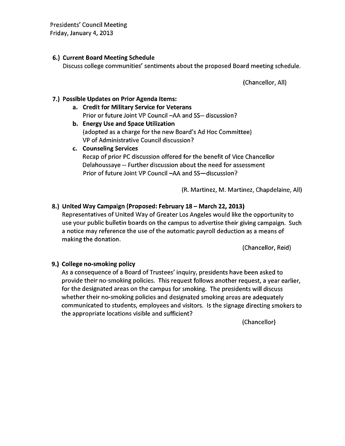**Presidents' Council Meeting** Friday, January 4, 2013

## 6.) Current Board Meeting Schedule

Discuss college communities' sentiments about the proposed Board meeting schedule.

(Chancellor, All)

## 7.) Possible Updates on Prior Agenda Items:

- a. Credit for Military Service for Veterans Prior or future Joint VP Council -AA and SS-- discussion?
- b. Energy Use and Space Utilization (adopted as a charge for the new Board's Ad Hoc Committee) VP of Administrative Council discussion?
- c. Counseling Services Recap of prior PC discussion offered for the benefit of Vice Chancellor Delahoussaye -- Further discussion about the need for assessment Prior of future Joint VP Council -AA and SS-discussion?

(R. Martinez, M. Martinez, Chapdelaine, All)

## 8.) United Way Campaign (Proposed: February 18 - March 22, 2013)

Representatives of United Way of Greater Los Angeles would like the opportunity to use your public bulletin boards on the campus to advertise their giving campaign. Such a notice may reference the use of the automatic payroll deduction as a means of making the donation.

(Chancellor, Reid)

## 9.) College no-smoking policy

As a consequence of a Board of Trustees' inquiry, presidents have been asked to provide their no-smoking policies. This request follows another request, a year earlier, for the designated areas on the campus for smoking. The presidents will discuss whether their no-smoking policies and designated smoking areas are adequately communicated to students, employees and visitors. Is the signage directing smokers to the appropriate locations visible and sufficient?

(Chancellor)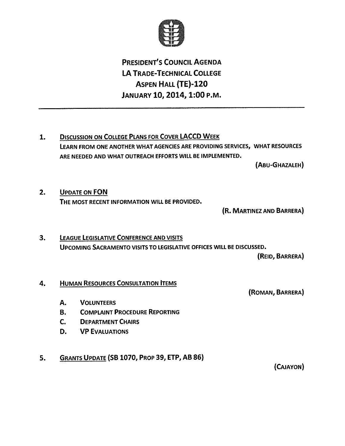

# **PRESIDENT'S COUNCIL AGENDA LA TRADE-TECHNICAL COLLEGE ASPEN HALL (TE)-120** JANUARY 10, 2014, 1:00 P.M.

**DISCUSSION ON COLLEGE PLANS FOR COVER LACCD WEEK**  $1.$ LEARN FROM ONE ANOTHER WHAT AGENCIES ARE PROVIDING SERVICES, WHAT RESOURCES ARE NEEDED AND WHAT OUTREACH EFFORTS WILL BE IMPLEMENTED.

(ABU-GHAZALEH)

 $2.$ **UPDATE ON FON** THE MOST RECENT INFORMATION WILL BE PROVIDED.

(R. MARTINEZ AND BARRERA)

 $3.$ **LEAGUE LEGISLATIVE CONFERENCE AND VISITS** UPCOMING SACRAMENTO VISITS TO LEGISLATIVE OFFICES WILL BE DISCUSSED.

(REID, BARRERA)

#### **HUMAN RESOURCES CONSULTATION ITEMS** 4.

(ROMAN, BARRERA)

- **A. VOLUNTEERS**
- **B. COMPLAINT PROCEDURE REPORTING**
- $C_{\bullet}$ **DEPARTMENT CHAIRS**
- **VP EVALUATIONS** D.
- GRANTS UPDATE (SB 1070, PROP 39, ETP, AB 86)  $5.$

(CAJAYON)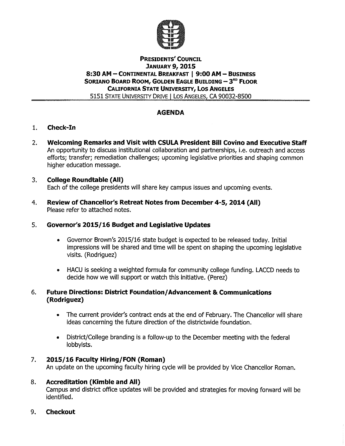

## **PRESIDENTS' COUNCIL JANUARY 9, 2015** 8:30 AM - CONTINENTAL BREAKFAST | 9:00 AM - BUSINESS SORIANO BOARD ROOM, GOLDEN EAGLE BUILDING - 3<sup>RD</sup> FLOOR **CALIFORNIA STATE UNIVERSITY, LOS ANGELES** 5151 STATE UNIVERSITY DRIVE | LOS ANGELES, CA 90032-8500

## **AGENDA**

- $1.$ **Check-In**
- Welcoming Remarks and Visit with CSULA President Bill Covino and Executive Staff  $2.$ An opportunity to discuss institutional collaboration and partnerships, i.e. outreach and access efforts; transfer; remediation challenges; upcoming legislative priorities and shaping common higher education message.
- 3. **College Roundtable (All)** Each of the college presidents will share key campus issues and upcoming events.
- Review of Chancellor's Retreat Notes from December 4-5, 2014 (All) 4. Please refer to attached notes.

#### $5.$ Governor's 2015/16 Budget and Legislative Updates

- Governor Brown's 2015/16 state budget is expected to be released today. Initial impressions will be shared and time will be spent on shaping the upcoming legislative visits. (Rodriquez)
- HACU is seeking a weighted formula for community college funding. LACCD needs to decide how we will support or watch this initiative. (Perez)

### **Future Directions: District Foundation/Advancement & Communications** 6. (Rodriguez)

- The current provider's contract ends at the end of February. The Chancellor will share  $\bullet$ ideas concerning the future direction of the districtwide foundation.
- District/College branding is a follow-up to the December meeting with the federal lobbyists.

#### 7. 2015/16 Faculty Hiring/FON (Roman)

An update on the upcoming faculty hiring cycle will be provided by Vice Chancellor Roman.

### **Accreditation (Kimble and All)** 8.

Campus and district office updates will be provided and strategies for moving forward will be identified.

**Checkout** 9.